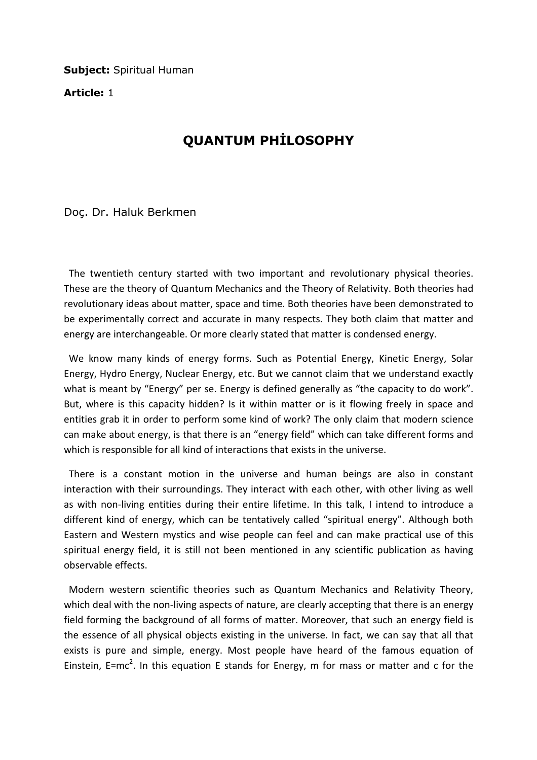**Subject: Spiritual Human** 

Article: 1

## QUANTUM PHİLOSOPHY

Doç. Dr. Haluk Berkmen

 The twentieth century started with two important and revolutionary physical theories. These are the theory of Quantum Mechanics and the Theory of Relativity. Both theories had revolutionary ideas about matter, space and time. Both theories have been demonstrated to be experimentally correct and accurate in many respects. They both claim that matter and energy are interchangeable. Or more clearly stated that matter is condensed energy.

 We know many kinds of energy forms. Such as Potential Energy, Kinetic Energy, Solar Energy, Hydro Energy, Nuclear Energy, etc. But we cannot claim that we understand exactly what is meant by "Energy" per se. Energy is defined generally as "the capacity to do work". But, where is this capacity hidden? Is it within matter or is it flowing freely in space and entities grab it in order to perform some kind of work? The only claim that modern science can make about energy, is that there is an "energy field" which can take different forms and which is responsible for all kind of interactions that exists in the universe.

 There is a constant motion in the universe and human beings are also in constant interaction with their surroundings. They interact with each other, with other living as well as with non-living entities during their entire lifetime. In this talk, I intend to introduce a different kind of energy, which can be tentatively called "spiritual energy". Although both Eastern and Western mystics and wise people can feel and can make practical use of this spiritual energy field, it is still not been mentioned in any scientific publication as having observable effects.

 Modern western scientific theories such as Quantum Mechanics and Relativity Theory, which deal with the non-living aspects of nature, are clearly accepting that there is an energy field forming the background of all forms of matter. Moreover, that such an energy field is the essence of all physical objects existing in the universe. In fact, we can say that all that exists is pure and simple, energy. Most people have heard of the famous equation of Einstein, E=mc<sup>2</sup>. In this equation E stands for Energy, m for mass or matter and c for the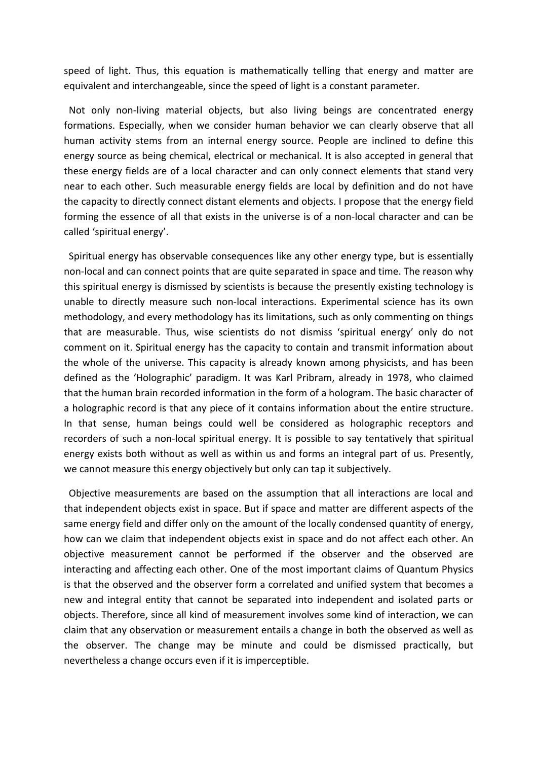speed of light. Thus, this equation is mathematically telling that energy and matter are equivalent and interchangeable, since the speed of light is a constant parameter.

 Not only non-living material objects, but also living beings are concentrated energy formations. Especially, when we consider human behavior we can clearly observe that all human activity stems from an internal energy source. People are inclined to define this energy source as being chemical, electrical or mechanical. It is also accepted in general that these energy fields are of a local character and can only connect elements that stand very near to each other. Such measurable energy fields are local by definition and do not have the capacity to directly connect distant elements and objects. I propose that the energy field forming the essence of all that exists in the universe is of a non-local character and can be called 'spiritual energy'.

 Spiritual energy has observable consequences like any other energy type, but is essentially non-local and can connect points that are quite separated in space and time. The reason why this spiritual energy is dismissed by scientists is because the presently existing technology is unable to directly measure such non-local interactions. Experimental science has its own methodology, and every methodology has its limitations, such as only commenting on things that are measurable. Thus, wise scientists do not dismiss 'spiritual energy' only do not comment on it. Spiritual energy has the capacity to contain and transmit information about the whole of the universe. This capacity is already known among physicists, and has been defined as the 'Holographic' paradigm. It was Karl Pribram, already in 1978, who claimed that the human brain recorded information in the form of a hologram. The basic character of a holographic record is that any piece of it contains information about the entire structure. In that sense, human beings could well be considered as holographic receptors and recorders of such a non-local spiritual energy. It is possible to say tentatively that spiritual energy exists both without as well as within us and forms an integral part of us. Presently, we cannot measure this energy objectively but only can tap it subjectively.

 Objective measurements are based on the assumption that all interactions are local and that independent objects exist in space. But if space and matter are different aspects of the same energy field and differ only on the amount of the locally condensed quantity of energy, how can we claim that independent objects exist in space and do not affect each other. An objective measurement cannot be performed if the observer and the observed are interacting and affecting each other. One of the most important claims of Quantum Physics is that the observed and the observer form a correlated and unified system that becomes a new and integral entity that cannot be separated into independent and isolated parts or objects. Therefore, since all kind of measurement involves some kind of interaction, we can claim that any observation or measurement entails a change in both the observed as well as the observer. The change may be minute and could be dismissed practically, but nevertheless a change occurs even if it is imperceptible.